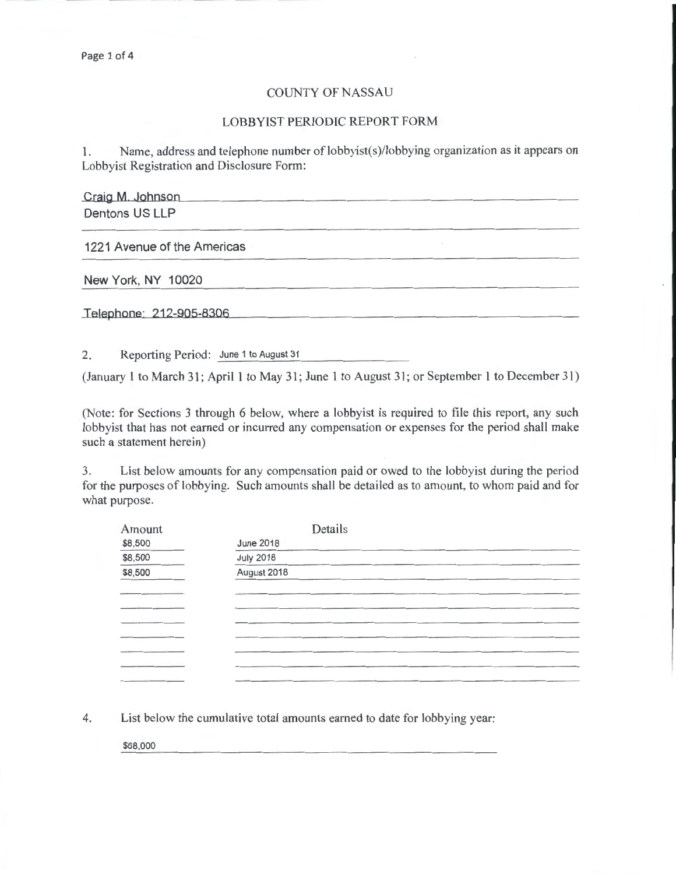## COUNTY OF NASSAU

## LOBBYIST PERIODIC REPORT FORM

1. Name, address and telephone number of lobbyist(s)/lobbying organization as it appears on Lobbyist Registration and Disclosure Form:

Craig M. Johnson Dentons US **LLP**  1221 Avenue of the Americas

New York, NY 10020

Telephone: 212-905-8306

2. Reporting Period: June 1 to August 31

(January I to March 31; April I to May 31; June 1 to August 31 ; or September 1 to December 31)

(Note: for Sections 3 through 6 below, where a lobbyist is required to file this report, any such lobbyist that has not earned or incurred any compensation or expenses for the period shall make such a statement herein)

3. List below amounts for any compensation paid or owed to the lobbyist during the period for the purposes of lobbying. Such amounts shall be detailed as to amount, to whom paid and for what purpose.

| Amount  |                  | Details |  |  |
|---------|------------------|---------|--|--|
| \$8,500 | <b>June 2018</b> |         |  |  |
| \$8,500 | <b>July 2018</b> |         |  |  |
| \$8,500 | August 2018      |         |  |  |
|         |                  |         |  |  |
|         |                  |         |  |  |
|         |                  |         |  |  |
|         |                  |         |  |  |
|         |                  |         |  |  |
|         |                  |         |  |  |
|         |                  |         |  |  |
|         |                  |         |  |  |

4. List below the cumulative total amounts earned to date for lobbying year:

\$68,000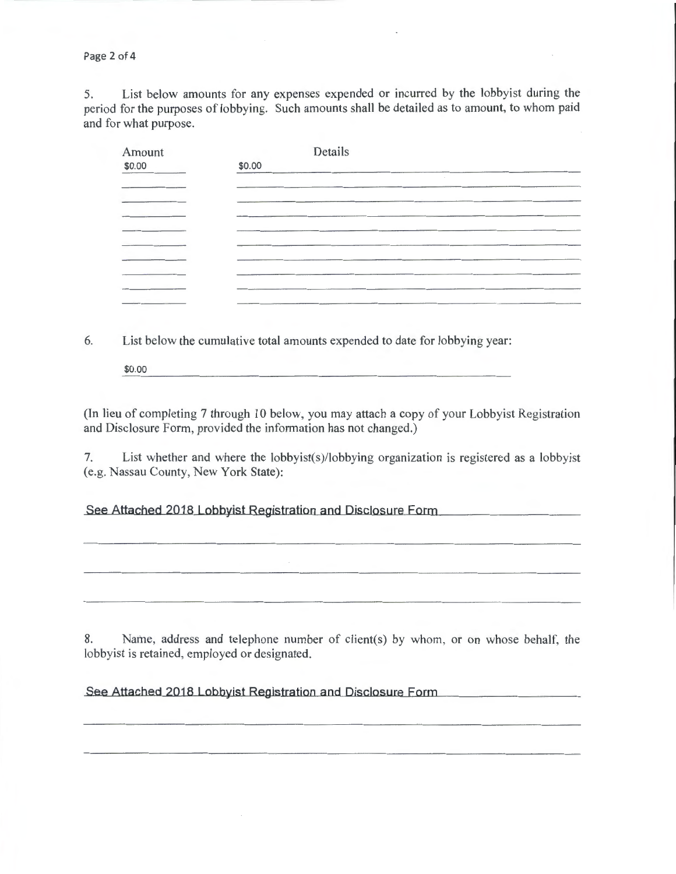Page 2 of 4

5. List below amounts for any expenses expended or incurred by the lobbyist during the period for the purposes of lobbying. Such amounts shall be detailed as to amount, to whom paid and for what purpose.

| Amount | Details |
|--------|---------|
| \$0.00 | \$0.00  |
|        |         |
|        |         |
|        |         |
|        |         |
|        |         |
|        |         |
|        |         |
|        |         |
|        |         |

6. List below the cumulative total amounts expended to date for lobbying year:

\$0.00

(In lieu of completing 7 through 10 below, you may attach a copy of your Lobbyist Registration and Disclosure Form, provided the information has not changed.)

7. List whether and where the lobbyist(s)/lobbying organization is registered as a lobbyist (e.g. Nassau County, New York State):

See Attached 2018 Lobbyist Registration and Disclosure Form

8. Name, address and telephone number of client(s) by whom, or on whose behalf, the lobbyist is retained, employed or designated.

#### See Attached 2018 Lobbyist Registration and Disclosure Form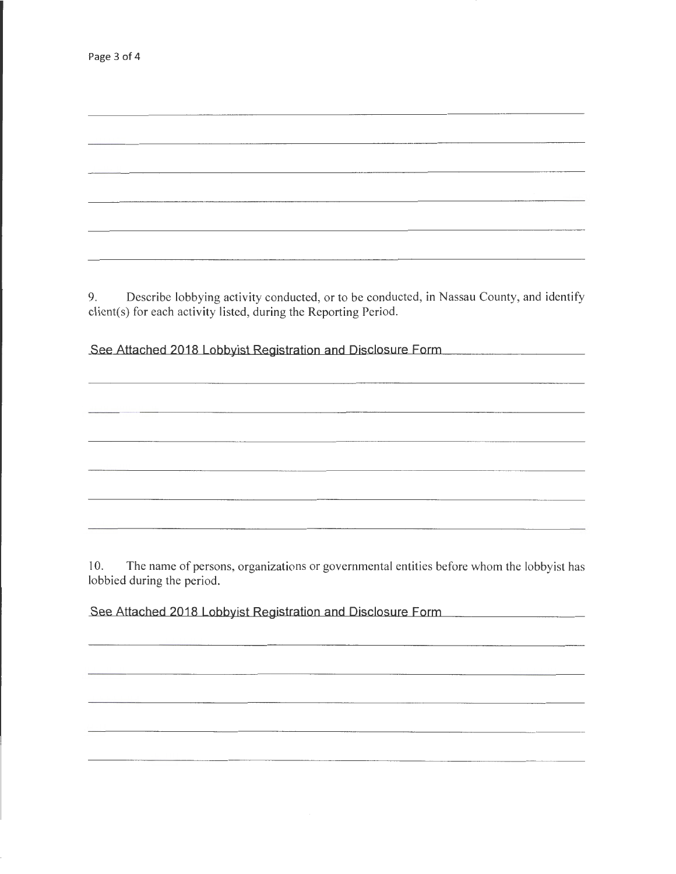| Page 3 of 4 |  |  |  |
|-------------|--|--|--|
|-------------|--|--|--|

9. Describe lobbying activity conducted, or to be conducted, in Nassau County, and identify client(s) for each activity listed, during the Reporting Period.

See Attached 2018 Lobbyist Registration and Disclosure Form

10. The name of persons, organizations or governmental entities before whom the lobbyist has lobbied during the period.

See Attached 2018 Lobbyist Registration and Disclosure Form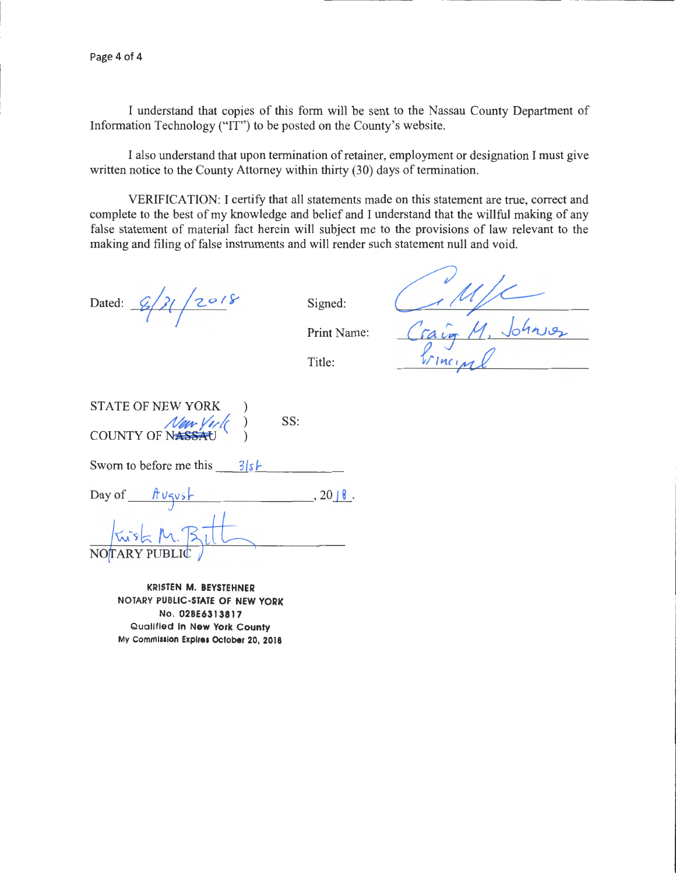I understand that copies of this form will be sent to the Nassau County Department of Information Technology ("IT") to be posted on the County's website.

I also understand that upon termination of retainer, employment or designation I must give written notice to the County Attorney within thirty (30) days of termination.

VERIFICATION: I certify that all statements made on this statement are true, correct and complete to the best of my knowledge and belief and I understand that the willful making of any false statement of material fact herein will subject me to the provisions of law relevant to the making and filing of false instruments and will render such statement null and void.

Dated:  $6/21/2018$  $\sqrt{2^{6/8}}$  Signed:

Print Name:

Title:

*7*   $70.40$ I

**STATE OF NEW YORK**  $NewYerl()$  SS: STATE OF NEW YORK<br> *New York*<br>
COUNTY OF N<del>ASSAU</del>

Sworn to before me this 3/s<sup>1</sup>

Day of  $, 2018$ .

NOTARY PUBLIC

KRISTEN M. BEYSTEHNER NOTARY PUBLIC-STATE OF NEW YORK No. 02BE6313817 Qualified in New York County My Commission Expires October 20, 2018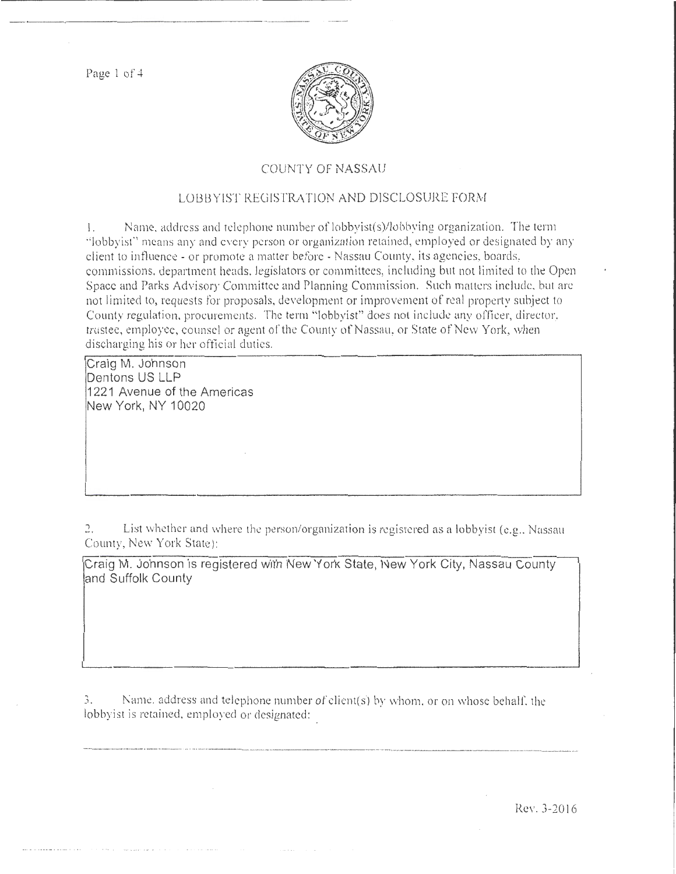Page 1 of 4



#### COUNTY OF NASSAU

## LOBBYIST REGISTRATION AND DISCLOSURE FORM

!. Name. address and rclephone number of lobbyist( s)/ lobb~ ing organization. The term "lobbyist" means any and every person or organization retained, employed or designated by any client to influence - or promote a matter before - Nassau County, its agencies, boards, commissions, department heads, legislators or committees, including but not limited to the Open Space and Parks Advisory Committee and Planning Commission. Such matters include, but are not limited to, requests for proposals, development or improvement of real property subject to County regulation, procurements. The term "lobbyist" does not include any officer, director, trustee, employee, counsel or agent of the County of Nassau, or State of New York, when discharging his or her official duties.

Craig M. Johnson Dentons US LLP 1221 Avenue of the Americas New York, NY 10020

2. List whether and where the person/organization is registered as a lobbyist (e.g., Nassau County, New York State):

Craig M. Johnson is registered with New York State, New York City, Nassau County and Suffolk County

**3. 1\an1e. address and teJcphone nurnber of** ~lient(s) **b)· \vhon1. or on \Vbose** behaiJ~ **the**  lobbyist is retained, employed or designated:

----------·-·--------------

Rc\'. 3-2016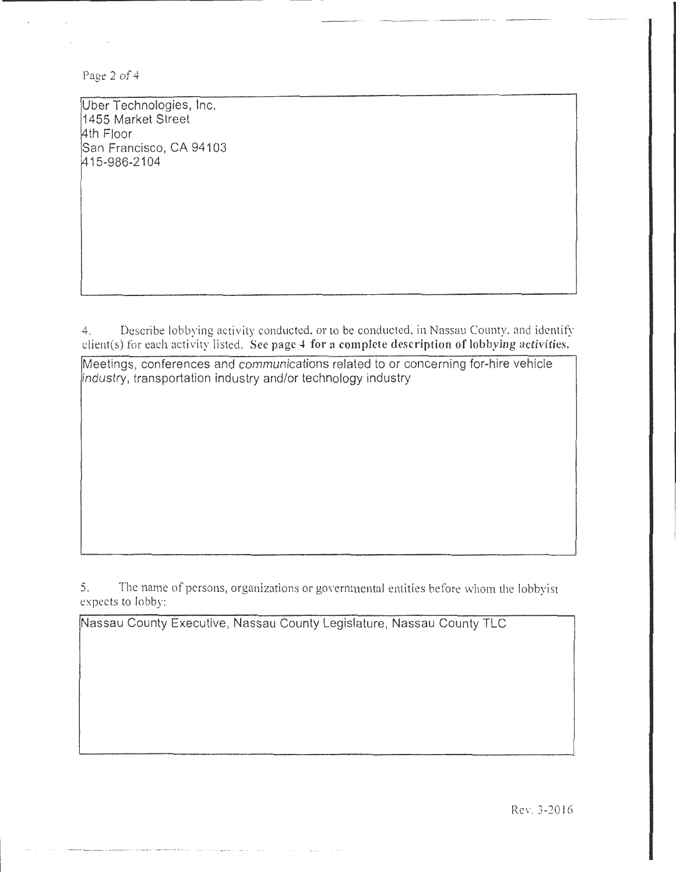Page 2 of 4

 $\alpha$  ,  $\beta$  ,  $\beta$  ,  $\beta$  ,  $\alpha$ 

Uber Technologies, Inc. 1455 Market Street 4th Floor San Francisco, CA 94103 415-986-2104

4. Describe lobbying activity conducted, or to be conducted, in Nassau County. and identify client(s) for each activity listed. See page 4 for a complete description of lobbying activities.

Meetings, conferences and communications related to or concerning for-hire vehicle industry, transportation industry and/or technology industry

5. The name of persons, organizations or governmental entities before whom the lobbyist expects to lobby:

Nassau County Executive, Nassau County Legislature, Nassau County TLC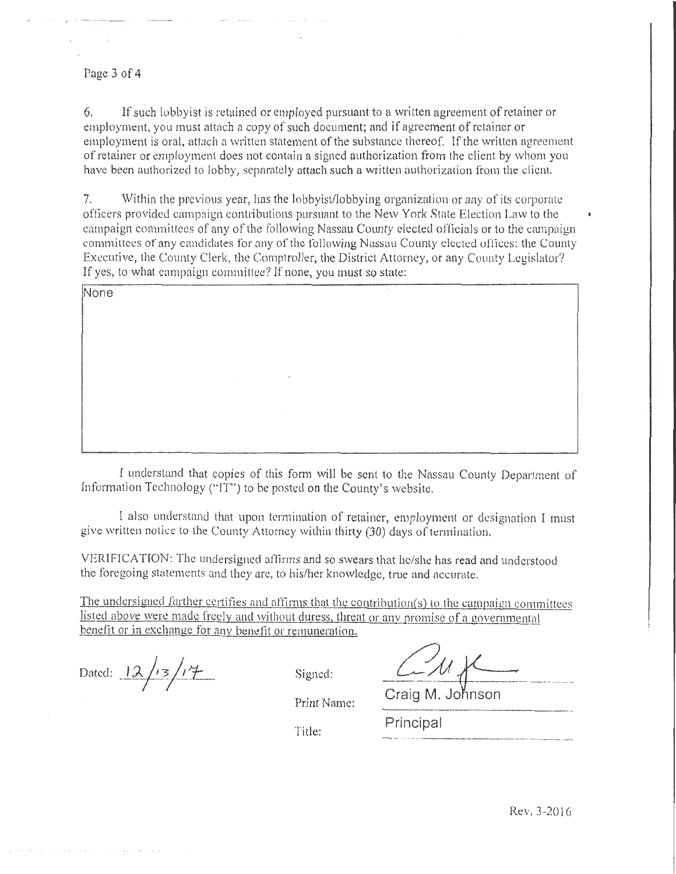# Page 3 of **4**

6. If such lobby is retained or employed pursuant to a written agreement of retainer or employment. you must attach a copy of such document; and if agreement of retainer or employment is oral, attach a written statement of the substance thereof. lf the written agreement of retainer or employment does not contain a signed authorization from the client by whom you have been authorized to lobby, separately attach such a written authorization from the client.

7. Within the previous year, has the lobbyist/lobbying organization or any of its corporate officers provided campaign contributions pursuant to the New York State Election Law to the campaign committees of any of the following Nassau County elected officials or to the campaign committees of any candidates for any of the following Nassau County elected offices: the County Executive, the County Clerk, the Comptroller, the District Attorney, or any County Legislator? If yes, to what campaign committee? If none, you must so state:

| None |           | $\sim$ |  |  |
|------|-----------|--------|--|--|
|      |           |        |  |  |
|      |           |        |  |  |
|      |           |        |  |  |
|      |           |        |  |  |
|      |           |        |  |  |
|      | $\bullet$ |        |  |  |
|      |           |        |  |  |
|      |           |        |  |  |
|      |           |        |  |  |
|      |           |        |  |  |
|      |           |        |  |  |

I understand that copies of this form will be sent to the Nassau County Department of Information Technology ("IT") to be posted on the County's website.

I also understand that upon termination of retainer, employment or designation I must give written notice to the County Attorney within thirty (30) days of termination.

YERJFICA TfON: The undersigned affirms and so swears that he/she has read and understood the foregoing statements and they are, to his/her knowledge, true and accurate.

The undersigned further certifies and affirms that the contribution(s) to the campaign committees listed above were made freely and without duress, threat or any promise of a governmental benefit or in exchange for any benefit or remuneration.

Dated:  $\frac{12}{15}$ /17 Signed:

Print Name:

Title: Principal **Principal** 

Craig M. Johnson